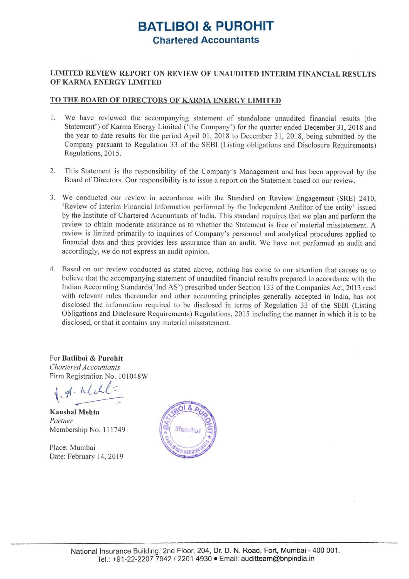## **BATLIBOI & PUROHIT Chartered Accountants**

## **LIMITED REVIEW REPORT ON REVIEW OF UNAUDITED INTERIM FINANCIAL RESULTS OF KARMA ENERGY LIMITED**

## **TO THE BOARD OF DIRECTORS OF KARMA ENERGY LIMITED**

- 1. We have reviewed the accompanying statement of standalone unaudited financial results (the Statement') of Karma Energy Limited ('the Company') for the quarter ended December 31, 2018 and the year to date results for the period April 01, 2018 to December 31, 2018, being submitted by the Company pursuant to Regulation 33 of the SEBI (Listing obligations and Disclosure Requirements) Regulations, 2015.
- 2. This Statement is the responsibility of the Company's Management and has been approved by the Board of Directors. Our responsibility is to issue a report on the Statement based on our review.
- 3. We conducted our review in accordance with the Standard on Review Engagement (SRE) 2410, 'Review of Interim Financial Information performed by the Independent Auditor of the entity' issued by the Institute of Chartered Accountants of India. This standard requires that we plan and perform the review to obtain moderate assurance as to whether the Statement is free of material misstatement. A review is limited primarily to inquiries of Company's personnel and analytical procedures applied to financia l data and thus provides less assurance than an audit. We have not performed an audit and accordingly, we do not express an audit opinion.
- 4. Based on our review conducted as stated above, nothing has come to our attention that causes us to believe that the accompanying statement of unaudited financial results prepared in accordance with the Indian Accounting Standards('Ind AS') prescribed under Section 133 of the Companies Act, 2013 read with relevant rules thereunder and other accounting principles generally accepted in India, has not disclosed the information required to be disclosed in terms of Regulation 33 of the SEBI (Listing Obligations and Disclosure Requirements) Regulations, 20 15 including the manner in which it is to be disclosed, or that it contains any material misstatement.

For **Batliboi** & **Purohit**  *Chartered Accountants*  Firm Registration No. IO 1048W

*Chartered Acce*<br>
irm Registrati<br> **d**. <del>A</del> · <u>M</u> gistration No. 101048W<br>gistration No. 101048W<br>Mehta  $\frac{1}{100}$ 

**Kaushal Mehta**  *Partner*  Membership No. 11 1749

Place: Mumbai Date: February 14, 2019